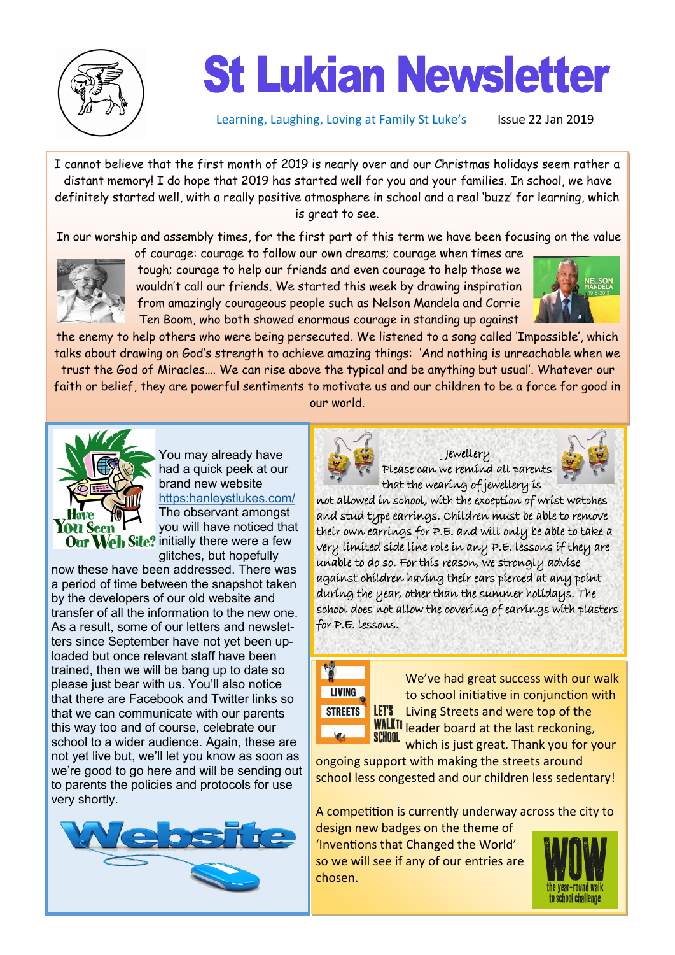

## **St Lukian Newsletter**

Learning, Laughing, Loving at Family St Luke's Issue 22 Jan 2019

I cannot believe that the first month of 2019 is nearly over and our Christmas holidays seem rather a distant memory! I do hope that 2019 has started well for you and your families. In school, we have definitely started well, with a really positive atmosphere in school and a real 'buzz' for learning, which is great to see.

In our worship and assembly times, for the first part of this term we have been focusing on the value



of courage: courage to follow our own dreams; courage when times are tough; courage to help our friends and even courage to help those we wouldn't call our friends. We started this week by drawing inspiration from amazingly courageous people such as Nelson Mandela and Corrie Ten Boom, who both showed enormous courage in standing up against



the enemy to help others who were being persecuted. We listened to a song called 'Impossible', which talks about drawing on God's strength to achieve amazing things: 'And nothing is unreachable when we trust the God of Miracles…. We can rise above the typical and be anything but usual'. Whatever our faith or belief, they are powerful sentiments to motivate us and our children to be a force for good in our world.



You may already have had a quick peek at our brand new website [https:hanleystlukes.com/](https://hanleystlukes.com/) The observant amongst you will have noticed that Our Web Site? initially there were a few glitches, but hopefully

now these have been addressed. There was a period of time between the snapshot taken by the developers of our old website and transfer of all the information to the new one. As a result, some of our letters and newsletters since September have not yet been uploaded but once relevant staff have been trained, then we will be bang up to date so please just bear with us. You'll also notice that there are Facebook and Twitter links so that we can communicate with our parents this way too and of course, celebrate our school to a wider audience. Again, these are not yet live but, we'll let you know as soon as we're good to go here and will be sending out to parents the policies and protocols for use very shortly.





Jewellery Please can we remind all parents that the wearing of jewellery is

ì



not allowed in school, with the exception of wrist watches and stud type earrings. Children must be able to remove their own earrings for P.E. and will only be able to take a very limited side line role in any P.E. lessons if they are unable to do so. For this reason, we strongly advise against children having their ears pierced at any point during the year, other than the summer holidays. The school does not allow the covering of earrings with plasters for P.E. lessons.



We've had great success with our walk to school initiative in conjunction with LET'S Living Streets and were top of the **WALKID** leader board at the last reckoning, which is just great. Thank you for your

ongoing support with making the streets around school less congested and our children less sedentary!

A competition is currently underway across the city to

design new badges on the theme of 'Inventions that Changed the World' so we will see if any of our entries are chosen.